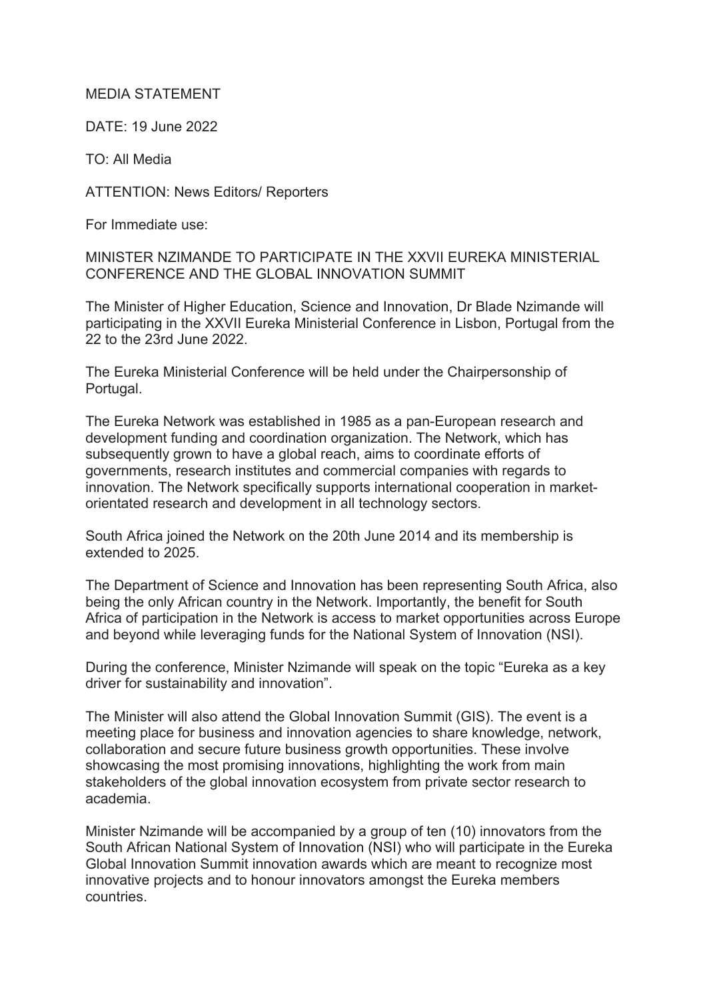## MEDIA STATEMENT

DATE: 19 June 2022

TO: All Media

ATTENTION: News Editors/ Reporters

For Immediate use:

MINISTER NZIMANDE TO PARTICIPATE IN THE XXVII EUREKA MINISTERIAL CONFERENCE AND THE GLOBAL INNOVATION SUMMIT

The Minister of Higher Education, Science and Innovation, Dr Blade Nzimande will participating in the XXVII Eureka Ministerial Conference in Lisbon, Portugal from the 22 to the 23rd June 2022.

The Eureka Ministerial Conference will be held under the Chairpersonship of Portugal.

The Eureka Network was established in 1985 as a pan-European research and development funding and coordination organization. The Network, which has subsequently grown to have a global reach, aims to coordinate efforts of governments, research institutes and commercial companies with regards to innovation. The Network specifically supports international cooperation in marketorientated research and development in all technology sectors.

South Africa joined the Network on the 20th June 2014 and its membership is extended to 2025.

The Department of Science and Innovation has been representing South Africa, also being the only African country in the Network. Importantly, the benefit for South Africa of participation in the Network is access to market opportunities across Europe and beyond while leveraging funds for the National System of Innovation (NSI).

During the conference, Minister Nzimande will speak on the topic "Eureka as a key driver for sustainability and innovation".

The Minister will also attend the Global Innovation Summit (GIS). The event is a meeting place for business and innovation agencies to share knowledge, network, collaboration and secure future business growth opportunities. These involve showcasing the most promising innovations, highlighting the work from main stakeholders of the global innovation ecosystem from private sector research to academia.

Minister Nzimande will be accompanied by a group of ten (10) innovators from the South African National System of Innovation (NSI) who will participate in the Eureka Global Innovation Summit innovation awards which are meant to recognize most innovative projects and to honour innovators amongst the Eureka members countries.